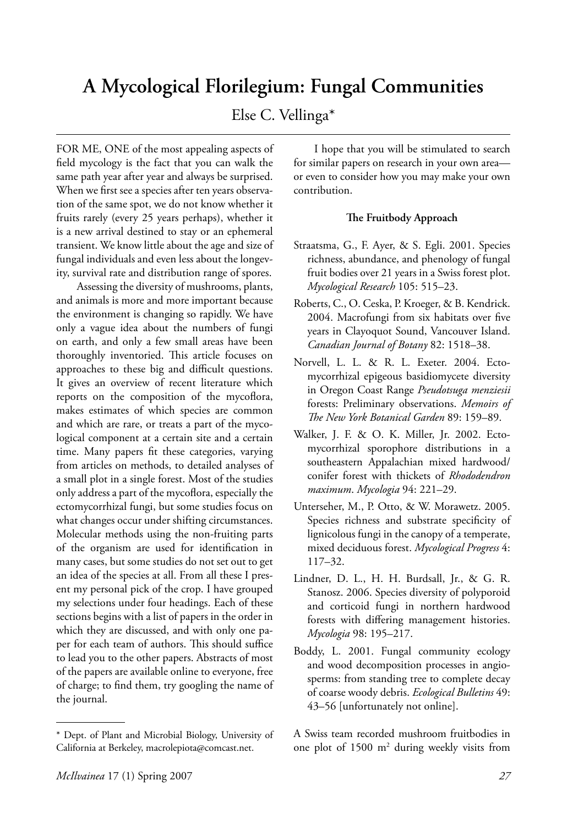# **A Mycological Florilegium: Fungal Communities**

# Else C. Vellinga\*

FOR ME, ONE of the most appealing aspects of field mycology is the fact that you can walk the same path year after year and always be surprised. When we first see a species after ten years observation of the same spot, we do not know whether it fruits rarely (every 25 years perhaps), whether it is a new arrival destined to stay or an ephemeral transient. We know little about the age and size of fungal individuals and even less about the longevity, survival rate and distribution range of spores.

 Assessing the diversity of mushrooms, plants, and animals is more and more important because the environment is changing so rapidly. We have only a vague idea about the numbers of fungi on earth, and only a few small areas have been thoroughly inventoried. This article focuses on approaches to these big and difficult questions. It gives an overview of recent literature which reports on the composition of the mycoflora, makes estimates of which species are common and which are rare, or treats a part of the mycological component at a certain site and a certain time. Many papers fit these categories, varying from articles on methods, to detailed analyses of a small plot in a single forest. Most of the studies only address a part of the mycoflora, especially the ectomycorrhizal fungi, but some studies focus on what changes occur under shifting circumstances. Molecular methods using the non-fruiting parts of the organism are used for identification in many cases, but some studies do not set out to get an idea of the species at all. From all these I present my personal pick of the crop. I have grouped my selections under four headings. Each of these sections begins with a list of papers in the order in which they are discussed, and with only one paper for each team of authors. This should suffice to lead you to the other papers. Abstracts of most of the papers are available online to everyone, free of charge; to find them, try googling the name of the journal.

 I hope that you will be stimulated to search for similar papers on research in your own area or even to consider how you may make your own contribution.

## **The Fruitbody Approach**

- Straatsma, G., F. Ayer, & S. Egli. 2001. Species richness, abundance, and phenology of fungal fruit bodies over 21 years in a Swiss forest plot. *Mycological Research* 105: 515–23.
- Roberts, C., O. Ceska, P. Kroeger, & B. Kendrick. 2004. Macrofungi from six habitats over five years in Clayoquot Sound, Vancouver Island. *Canadian Journal of Botany* 82: 1518–38.
- Norvell, L. L. & R. L. Exeter. 2004. Ectomycorrhizal epigeous basidiomycete diversity in Oregon Coast Range *Pseudotsuga menziesii* forests: Preliminary observations. *Memoirs of Th e New York Botanical Garden* 89: 159–89.
- Walker, J. F. & O. K. Miller, Jr. 2002. Ectomycorrhizal sporophore distributions in a southeastern Appalachian mixed hardwood/ conifer forest with thickets of *Rhododendron maximum*. *Mycologia* 94: 221–29.
- Unterseher, M., P. Otto, & W. Morawetz. 2005. Species richness and substrate specificity of lignicolous fungi in the canopy of a temperate, mixed deciduous forest. *Mycological Progress* 4: 117–32.
- Lindner, D. L., H. H. Burdsall, Jr., & G. R. Stanosz. 2006. Species diversity of polyporoid and corticoid fungi in northern hardwood forests with differing management histories. *Mycologia* 98: 195–217.
- Boddy, L. 2001. Fungal community ecology and wood decomposition processes in angiosperms: from standing tree to complete decay of coarse woody debris. *Ecological Bulletins* 49: 43–56 [unfortunately not online].

A Swiss team recorded mushroom fruitbodies in one plot of 1500 m2 during weekly visits from

<sup>\*</sup> Dept. of Plant and Microbial Biology, University of California at Berkeley, macrolepiota@comcast.net.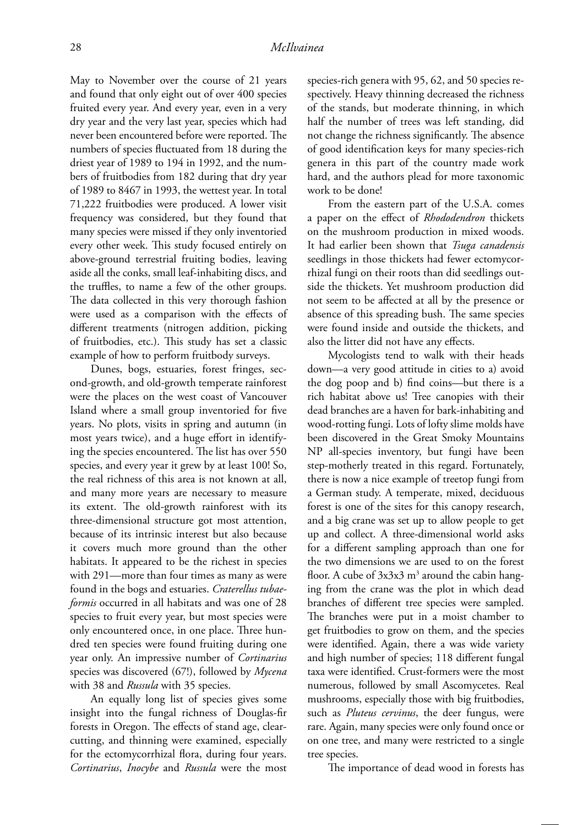May to November over the course of 21 years and found that only eight out of over 400 species fruited every year. And every year, even in a very dry year and the very last year, species which had never been encountered before were reported. The numbers of species fluctuated from 18 during the driest year of 1989 to 194 in 1992, and the numbers of fruitbodies from 182 during that dry year of 1989 to 8467 in 1993, the wettest year. In total 71,222 fruitbodies were produced. A lower visit frequency was considered, but they found that many species were missed if they only inventoried every other week. This study focused entirely on above-ground terrestrial fruiting bodies, leaving aside all the conks, small leaf-inhabiting discs, and the truffles, to name a few of the other groups. The data collected in this very thorough fashion were used as a comparison with the effects of different treatments (nitrogen addition, picking of fruitbodies, etc.). This study has set a classic example of how to perform fruitbody surveys.

 Dunes, bogs, estuaries, forest fringes, second-growth, and old-growth temperate rainforest were the places on the west coast of Vancouver Island where a small group inventoried for five years. No plots, visits in spring and autumn (in most years twice), and a huge effort in identifying the species encountered. The list has over 550 species, and every year it grew by at least 100! So, the real richness of this area is not known at all, and many more years are necessary to measure its extent. The old-growth rainforest with its three-dimensional structure got most attention, because of its intrinsic interest but also because it covers much more ground than the other habitats. It appeared to be the richest in species with 291—more than four times as many as were found in the bogs and estuaries. *Craterellus tubaeformis* occurred in all habitats and was one of 28 species to fruit every year, but most species were only encountered once, in one place. Three hundred ten species were found fruiting during one year only. An impressive number of *Cortinarius* species was discovered (67!), followed by *Mycena* with 38 and *Russula* with 35 species.

 An equally long list of species gives some insight into the fungal richness of Douglas-fir forests in Oregon. The effects of stand age, clearcutting, and thinning were examined, especially for the ectomycorrhizal flora, during four years. *Cortinarius*, *Inocybe* and *Russula* were the most

species-rich genera with 95, 62, and 50 species respectively. Heavy thinning decreased the richness of the stands, but moderate thinning, in which half the number of trees was left standing, did not change the richness significantly. The absence of good identification keys for many species-rich genera in this part of the country made work hard, and the authors plead for more taxonomic work to be done!

 From the eastern part of the U.S.A. comes a paper on the effect of *Rhododendron* thickets on the mushroom production in mixed woods. It had earlier been shown that *Tsuga canadensis*  seedlings in those thickets had fewer ectomycorrhizal fungi on their roots than did seedlings outside the thickets. Yet mushroom production did not seem to be affected at all by the presence or absence of this spreading bush. The same species were found inside and outside the thickets, and also the litter did not have any effects.

 Mycologists tend to walk with their heads down—a very good attitude in cities to a) avoid the dog poop and b) find coins—but there is a rich habitat above us! Tree canopies with their dead branches are a haven for bark-inhabiting and wood-rotting fungi. Lots of lofty slime molds have been discovered in the Great Smoky Mountains NP all-species inventory, but fungi have been step-motherly treated in this regard. Fortunately, there is now a nice example of treetop fungi from a German study. A temperate, mixed, deciduous forest is one of the sites for this canopy research, and a big crane was set up to allow people to get up and collect. A three-dimensional world asks for a different sampling approach than one for the two dimensions we are used to on the forest floor. A cube of 3x3x3 m<sup>3</sup> around the cabin hanging from the crane was the plot in which dead branches of different tree species were sampled. The branches were put in a moist chamber to get fruitbodies to grow on them, and the species were identified. Again, there a was wide variety and high number of species; 118 different fungal taxa were identified. Crust-formers were the most numerous, followed by small Ascomycetes. Real mushrooms, especially those with big fruitbodies, such as *Pluteus cervinus*, the deer fungus, were rare. Again, many species were only found once or on one tree, and many were restricted to a single tree species.

The importance of dead wood in forests has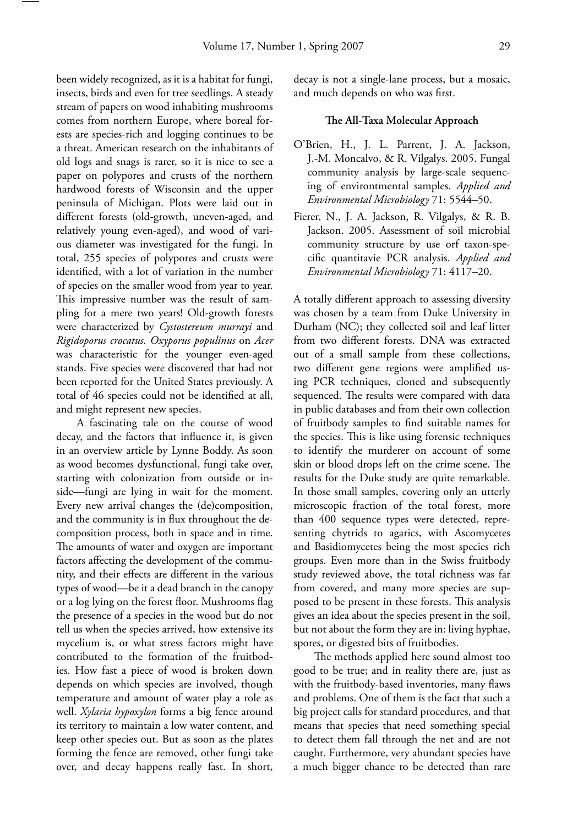been widely recognized, as it is a habitat for fungi, insects, birds and even for tree seedlings. A steady stream of papers on wood inhabiting mushrooms comes from northern Europe, where boreal forests are species-rich and logging continues to be a threat. American research on the inhabitants of old logs and snags is rarer, so it is nice to see a paper on polypores and crusts of the northern hardwood forests of Wisconsin and the upper peninsula of Michigan. Plots were laid out in different forests (old-growth, uneven-aged, and relatively young even-aged), and wood of various diameter was investigated for the fungi. In total, 255 species of polypores and crusts were identified, with a lot of variation in the number of species on the smaller wood from year to year. This impressive number was the result of sampling for a mere two years! Old-growth forests were characterized by *Cystostereum murrayi* and *Rigidoporus crocatus*. *Oxyporus populinus* on *Acer* was characteristic for the younger even-aged stands. Five species were discovered that had not been reported for the United States previously. A total of 46 species could not be identified at all, and might represent new species.

 A fascinating tale on the course of wood decay, and the factors that influence it, is given in an overview article by Lynne Boddy. As soon as wood becomes dysfunctional, fungi take over, starting with colonization from outside or inside—fungi are lying in wait for the moment. Every new arrival changes the (de)composition, and the community is in flux throughout the decomposition process, both in space and in time. The amounts of water and oxygen are important factors affecting the development of the community, and their effects are different in the various types of wood—be it a dead branch in the canopy or a log lying on the forest floor. Mushrooms flag the presence of a species in the wood but do not tell us when the species arrived, how extensive its mycelium is, or what stress factors might have contributed to the formation of the fruitbodies. How fast a piece of wood is broken down depends on which species are involved, though temperature and amount of water play a role as well. *Xylaria hypoxylon* forms a big fence around its territory to maintain a low water content, and keep other species out. But as soon as the plates forming the fence are removed, other fungi take over, and decay happens really fast. In short,

 decay is not a single-lane process, but a mosaic, and much depends on who was first.

#### **The All-Taxa Molecular Approach**

- O'Brien, H., J. L. Parrent, J. A. Jackson, J.-M. Moncalvo, & R. Vilgalys. 2005. Fungal community analysis by large-scale sequencing of environtmental samples. *Applied and Environmental Microbiology* 71: 5544–50.
- Fierer, N., J. A. Jackson, R. Vilgalys, & R. B. Jackson. 2005. Assessment of soil microbial community structure by use orf taxon-specific quantitavie PCR analysis. *Applied and Environmental Microbiology* 71: 4117–20.

A totally different approach to assessing diversity was chosen by a team from Duke University in Durham (NC); they collected soil and leaf litter from two different forests. DNA was extracted out of a small sample from these collections, two different gene regions were amplified using PCR techniques, cloned and subsequently sequenced. The results were compared with data in public databases and from their own collection of fruitbody samples to find suitable names for the species. This is like using forensic techniques to identify the murderer on account of some skin or blood drops left on the crime scene. The results for the Duke study are quite remarkable. In those small samples, covering only an utterly microscopic fraction of the total forest, more than 400 sequence types were detected, representing chytrids to agarics, with Ascomycetes and Basidiomycetes being the most species rich groups. Even more than in the Swiss fruitbody study reviewed above, the total richness was far from covered, and many more species are supposed to be present in these forests. This analysis gives an idea about the species present in the soil, but not about the form they are in: living hyphae, spores, or digested bits of fruitbodies.

The methods applied here sound almost too good to be true; and in reality there are, just as with the fruitbody-based inventories, many flaws and problems. One of them is the fact that such a big project calls for standard procedures, and that means that species that need something special to detect them fall through the net and are not caught. Furthermore, very abundant species have a much bigger chance to be detected than rare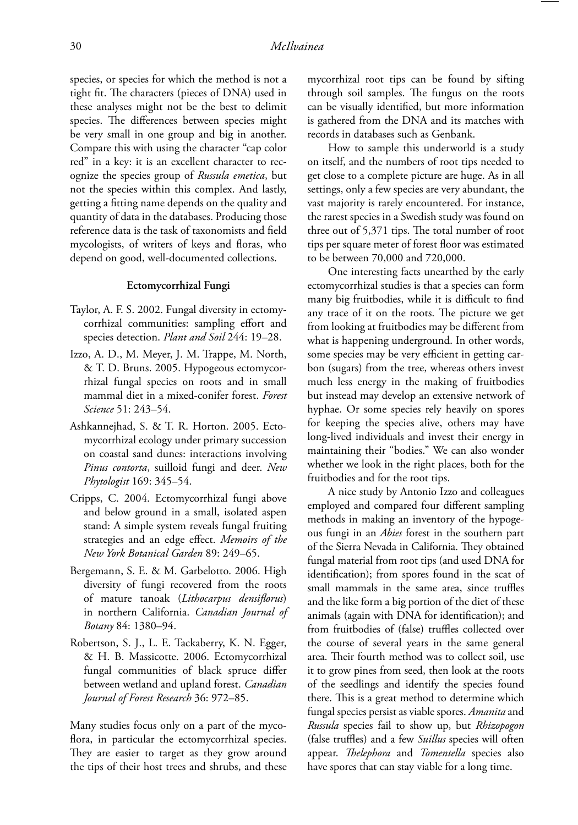species, or species for which the method is not a tight fit. The characters (pieces of DNA) used in these analyses might not be the best to delimit species. The differences between species might be very small in one group and big in another. Compare this with using the character "cap color red" in a key: it is an excellent character to recognize the species group of *Russula emetica*, but not the species within this complex. And lastly, getting a fitting name depends on the quality and quantity of data in the databases. Producing those reference data is the task of taxonomists and field mycologists, of writers of keys and floras, who depend on good, well-documented collections.

#### **Ectomycorrhizal Fungi**

- Taylor, A. F. S. 2002. Fungal diversity in ectomycorrhizal communities: sampling effort and species detection. *Plant and Soil* 244: 19–28.
- Izzo, A. D., M. Meyer, J. M. Trappe, M. North, & T. D. Bruns. 2005. Hypogeous ectomycorrhizal fungal species on roots and in small mammal diet in a mixed-conifer forest. *Forest Science* 51: 243–54.
- Ashkannejhad, S. & T. R. Horton. 2005. Ectomycorrhizal ecology under primary succession on coastal sand dunes: interactions involving *Pinus contorta*, suilloid fungi and deer. *New Phytologist* 169: 345–54.
- Cripps, C. 2004. Ectomycorrhizal fungi above and below ground in a small, isolated aspen stand: A simple system reveals fungal fruiting strategies and an edge effect. *Memoirs of the New York Botanical Garden* 89: 249–65.
- Bergemann, S. E. & M. Garbelotto. 2006. High diversity of fungi recovered from the roots of mature tanoak (*Lithocarpus densiflorus*) in northern California. *Canadian Journal of Botany* 84: 1380–94.
- Robertson, S. J., L. E. Tackaberry, K. N. Egger, & H. B. Massicotte. 2006. Ectomycorrhizal fungal communities of black spruce differ between wetland and upland forest. *Canadian Journal of Forest Research* 36: 972–85.

Many studies focus only on a part of the mycoflora, in particular the ectomycorrhizal species. They are easier to target as they grow around the tips of their host trees and shrubs, and these

mycorrhizal root tips can be found by sifting through soil samples. The fungus on the roots can be visually identified, but more information is gathered from the DNA and its matches with records in databases such as Genbank.

 How to sample this underworld is a study on itself, and the numbers of root tips needed to get close to a complete picture are huge. As in all settings, only a few species are very abundant, the vast majority is rarely encountered. For instance, the rarest species in a Swedish study was found on three out of 5,371 tips. The total number of root tips per square meter of forest floor was estimated to be between 70,000 and 720,000.

 One interesting facts unearthed by the early ectomycorrhizal studies is that a species can form many big fruitbodies, while it is difficult to find any trace of it on the roots. The picture we get from looking at fruitbodies may be different from what is happening underground. In other words, some species may be very efficient in getting carbon (sugars) from the tree, whereas others invest much less energy in the making of fruitbodies but instead may develop an extensive network of hyphae. Or some species rely heavily on spores for keeping the species alive, others may have long-lived individuals and invest their energy in maintaining their "bodies." We can also wonder whether we look in the right places, both for the fruitbodies and for the root tips.

 A nice study by Antonio Izzo and colleagues employed and compared four different sampling methods in making an inventory of the hypogeous fungi in an *Abies* forest in the southern part of the Sierra Nevada in California. They obtained fungal material from root tips (and used DNA for identification); from spores found in the scat of small mammals in the same area, since truffles and the like form a big portion of the diet of these animals (again with DNA for identification); and from fruitbodies of (false) truffles collected over the course of several years in the same general area. Their fourth method was to collect soil, use it to grow pines from seed, then look at the roots of the seedlings and identify the species found there. This is a great method to determine which fungal species persist as viable spores. *Amanita* and *Russula* species fail to show up, but *Rhizopogon* (false truffles) and a few *Suillus* species will often appear. *Thelephora* and *Tomentella* species also have spores that can stay viable for a long time.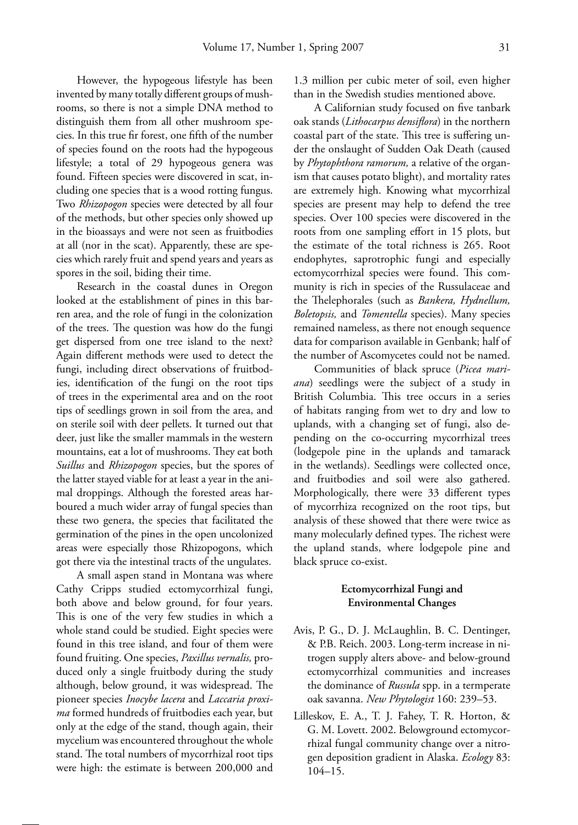However, the hypogeous lifestyle has been invented by many totally different groups of mushrooms, so there is not a simple DNA method to distinguish them from all other mushroom species. In this true fir forest, one fifth of the number of species found on the roots had the hypogeous lifestyle; a total of 29 hypogeous genera was found. Fifteen species were discovered in scat, including one species that is a wood rotting fungus. Two *Rhizopogon* species were detected by all four of the methods, but other species only showed up in the bioassays and were not seen as fruitbodies at all (nor in the scat). Apparently, these are species which rarely fruit and spend years and years as spores in the soil, biding their time.

 Research in the coastal dunes in Oregon looked at the establishment of pines in this barren area, and the role of fungi in the colonization of the trees. The question was how do the fungi get dispersed from one tree island to the next? Again different methods were used to detect the fungi, including direct observations of fruitbodies, identification of the fungi on the root tips of trees in the experimental area and on the root tips of seedlings grown in soil from the area, and on sterile soil with deer pellets. It turned out that deer, just like the smaller mammals in the western mountains, eat a lot of mushrooms. They eat both *Suillus* and *Rhizopogon* species, but the spores of the latter stayed viable for at least a year in the animal droppings. Although the forested areas harboured a much wider array of fungal species than these two genera, the species that facilitated the germination of the pines in the open uncolonized areas were especially those Rhizopogons, which got there via the intestinal tracts of the ungulates.

 A small aspen stand in Montana was where Cathy Cripps studied ectomycorrhizal fungi, both above and below ground, for four years. This is one of the very few studies in which a whole stand could be studied. Eight species were found in this tree island, and four of them were found fruiting. One species, *Paxillus vernalis,* produced only a single fruitbody during the study although, below ground, it was widespread. The pioneer species *Inocybe lacera* and *Laccaria proxima* formed hundreds of fruitbodies each year, but only at the edge of the stand, though again, their mycelium was encountered throughout the whole stand. The total numbers of mycorrhizal root tips were high: the estimate is between 200,000 and

1.3 million per cubic meter of soil, even higher than in the Swedish studies mentioned above.

A Californian study focused on five tanbark oak stands (*Lithocarpus densiflora*) in the northern coastal part of the state. This tree is suffering under the onslaught of Sudden Oak Death (caused by *Phytophthora ramorum,* a relative of the organism that causes potato blight), and mortality rates are extremely high. Knowing what mycorrhizal species are present may help to defend the tree species. Over 100 species were discovered in the roots from one sampling effort in 15 plots, but the estimate of the total richness is 265. Root endophytes, saprotrophic fungi and especially ectomycorrhizal species were found. This community is rich in species of the Russulaceae and the Thelephorales (such as *Bankera*, *Hydnellum*, *Boletopsis,* and *Tomentella* species). Many species remained nameless, as there not enough sequence data for comparison available in Genbank; half of the number of Ascomycetes could not be named.

 Communities of black spruce (*Picea mariana*) seedlings were the subject of a study in British Columbia. This tree occurs in a series of habitats ranging from wet to dry and low to uplands, with a changing set of fungi, also depending on the co-occurring mycorrhizal trees (lodgepole pine in the uplands and tamarack in the wetlands). Seedlings were collected once, and fruitbodies and soil were also gathered. Morphologically, there were 33 different types of mycorrhiza recognized on the root tips, but analysis of these showed that there were twice as many molecularly defined types. The richest were the upland stands, where lodgepole pine and black spruce co-exist.

### **Ectomycorrhizal Fungi and Environmental Changes**

- Avis, P. G., D. J. McLaughlin, B. C. Dentinger, & P.B. Reich. 2003. Long-term increase in nitrogen supply alters above- and below-ground ectomycorrhizal communities and increases the dominance of *Russula* spp. in a termperate oak savanna. *New Phytologist* 160: 239–53.
- Lilleskov, E. A., T. J. Fahey, T. R. Horton, & G. M. Lovett. 2002. Belowground ectomycorrhizal fungal community change over a nitrogen deposition gradient in Alaska. *Ecology* 83: 104–15.